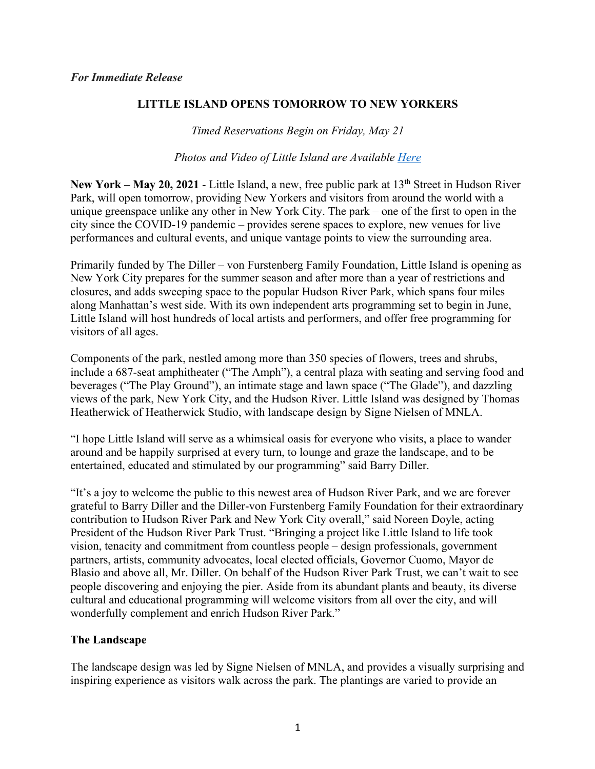## **LITTLE ISLAND OPENS TOMORROW TO NEW YORKERS**

*Timed Reservations Begin on Friday, May 21*

*Photos and Video of Little Island are Available Here*

**New York – May 20, 2021** - Little Island, a new, free public park at 13<sup>th</sup> Street in Hudson River Park, will open tomorrow, providing New Yorkers and visitors from around the world with a unique greenspace unlike any other in New York City. The park – one of the first to open in the city since the COVID-19 pandemic – provides serene spaces to explore, new venues for live performances and cultural events, and unique vantage points to view the surrounding area.

Primarily funded by The Diller – von Furstenberg Family Foundation, Little Island is opening as New York City prepares for the summer season and after more than a year of restrictions and closures, and adds sweeping space to the popular Hudson River Park, which spans four miles along Manhattan's west side. With its own independent arts programming set to begin in June, Little Island will host hundreds of local artists and performers, and offer free programming for visitors of all ages.

Components of the park, nestled among more than 350 species of flowers, trees and shrubs, include a 687-seat amphitheater ("The Amph"), a central plaza with seating and serving food and beverages ("The Play Ground"), an intimate stage and lawn space ("The Glade"), and dazzling views of the park, New York City, and the Hudson River. Little Island was designed by Thomas Heatherwick of Heatherwick Studio, with landscape design by Signe Nielsen of MNLA.

"I hope Little Island will serve as a whimsical oasis for everyone who visits, a place to wander around and be happily surprised at every turn, to lounge and graze the landscape, and to be entertained, educated and stimulated by our programming" said Barry Diller.

"It's a joy to welcome the public to this newest area of Hudson River Park, and we are forever grateful to Barry Diller and the Diller-von Furstenberg Family Foundation for their extraordinary contribution to Hudson River Park and New York City overall," said Noreen Doyle, acting President of the Hudson River Park Trust. "Bringing a project like Little Island to life took vision, tenacity and commitment from countless people – design professionals, government partners, artists, community advocates, local elected officials, Governor Cuomo, Mayor de Blasio and above all, Mr. Diller. On behalf of the Hudson River Park Trust, we can't wait to see people discovering and enjoying the pier. Aside from its abundant plants and beauty, its diverse cultural and educational programming will welcome visitors from all over the city, and will wonderfully complement and enrich Hudson River Park."

## **The Landscape**

The landscape design was led by Signe Nielsen of MNLA, and provides a visually surprising and inspiring experience as visitors walk across the park. The plantings are varied to provide an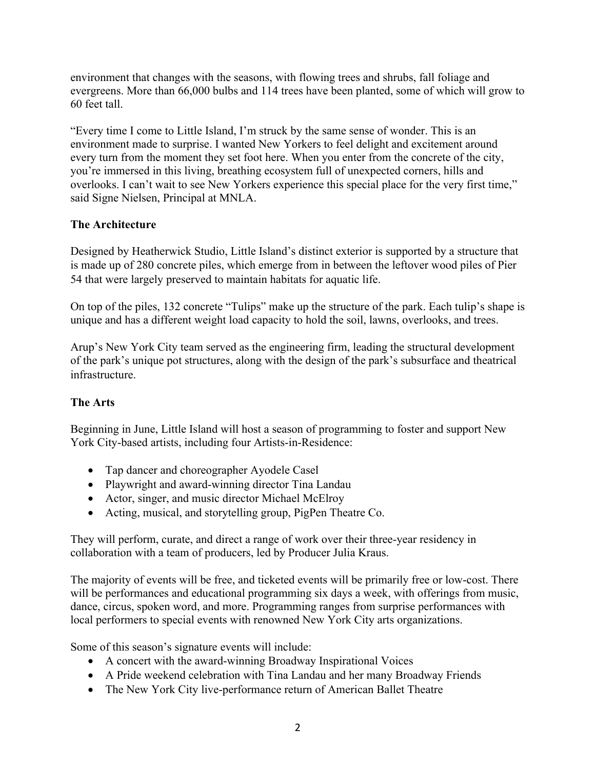environment that changes with the seasons, with flowing trees and shrubs, fall foliage and evergreens. More than 66,000 bulbs and 114 trees have been planted, some of which will grow to 60 feet tall.

"Every time I come to Little Island, I'm struck by the same sense of wonder. This is an environment made to surprise. I wanted New Yorkers to feel delight and excitement around every turn from the moment they set foot here. When you enter from the concrete of the city, you're immersed in this living, breathing ecosystem full of unexpected corners, hills and overlooks. I can't wait to see New Yorkers experience this special place for the very first time," said Signe Nielsen, Principal at MNLA.

# **The Architecture**

Designed by Heatherwick Studio, Little Island's distinct exterior is supported by a structure that is made up of 280 concrete piles, which emerge from in between the leftover wood piles of Pier 54 that were largely preserved to maintain habitats for aquatic life.

On top of the piles, 132 concrete "Tulips" make up the structure of the park. Each tulip's shape is unique and has a different weight load capacity to hold the soil, lawns, overlooks, and trees.

Arup's New York City team served as the engineering firm, leading the structural development of the park's unique pot structures, along with the design of the park's subsurface and theatrical infrastructure.

# **The Arts**

Beginning in June, Little Island will host a season of programming to foster and support New York City-based artists, including four Artists-in-Residence:

- Tap dancer and choreographer Ayodele Casel
- Playwright and award-winning director Tina Landau
- Actor, singer, and music director Michael McElroy
- Acting, musical, and storytelling group, PigPen Theatre Co.

They will perform, curate, and direct a range of work over their three-year residency in collaboration with a team of producers, led by Producer Julia Kraus.

The majority of events will be free, and ticketed events will be primarily free or low-cost. There will be performances and educational programming six days a week, with offerings from music, dance, circus, spoken word, and more. Programming ranges from surprise performances with local performers to special events with renowned New York City arts organizations.

Some of this season's signature events will include:

- A concert with the award-winning Broadway Inspirational Voices
- A Pride weekend celebration with Tina Landau and her many Broadway Friends
- The New York City live-performance return of American Ballet Theatre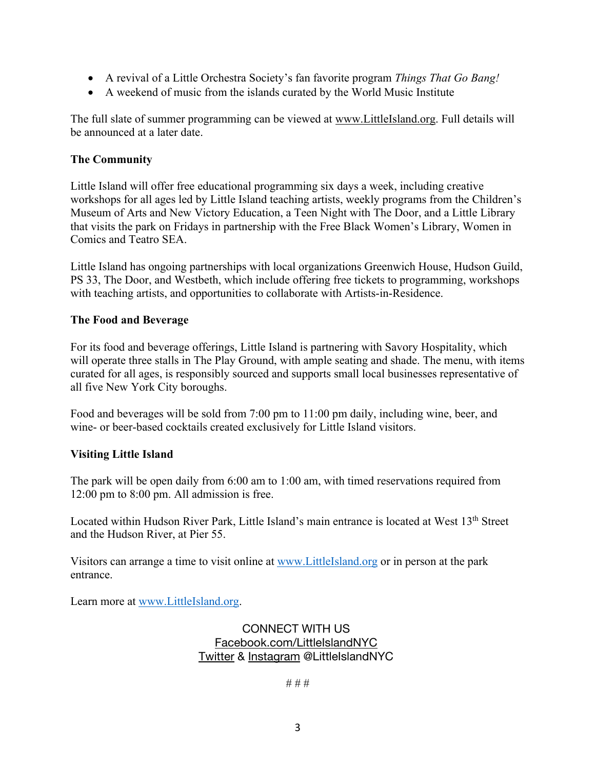- A revival of a Little Orchestra Society's fan favorite program *Things That Go Bang!*
- A weekend of music from the islands curated by the World Music Institute

The full slate of summer programming can be viewed at www.LittleIsland.org. Full details will be announced at a later date.

#### **The Community**

Little Island will offer free educational programming six days a week, including creative workshops for all ages led by Little Island teaching artists, weekly programs from the Children's Museum of Arts and New Victory Education, a Teen Night with The Door, and a Little Library that visits the park on Fridays in partnership with the Free Black Women's Library, Women in Comics and Teatro SEA.

Little Island has ongoing partnerships with local organizations Greenwich House, Hudson Guild, PS 33, The Door, and Westbeth, which include offering free tickets to programming, workshops with teaching artists, and opportunities to collaborate with Artists-in-Residence.

#### **The Food and Beverage**

For its food and beverage offerings, Little Island is partnering with Savory Hospitality, which will operate three stalls in The Play Ground, with ample seating and shade. The menu, with items curated for all ages, is responsibly sourced and supports small local businesses representative of all five New York City boroughs.

Food and beverages will be sold from 7:00 pm to 11:00 pm daily, including wine, beer, and wine- or beer-based cocktails created exclusively for Little Island visitors.

#### **Visiting Little Island**

The park will be open daily from 6:00 am to 1:00 am, with timed reservations required from 12:00 pm to 8:00 pm. All admission is free.

Located within Hudson River Park, Little Island's main entrance is located at West 13<sup>th</sup> Street and the Hudson River, at Pier 55.

Visitors can arrange a time to visit online at www.LittleIsland.org or in person at the park entrance.

Learn more at www.LittleIsland.org.

CONNECT WITH US Facebook.com/LittleIslandNYC Twitter & Instagram @LittleIslandNYC

# # #